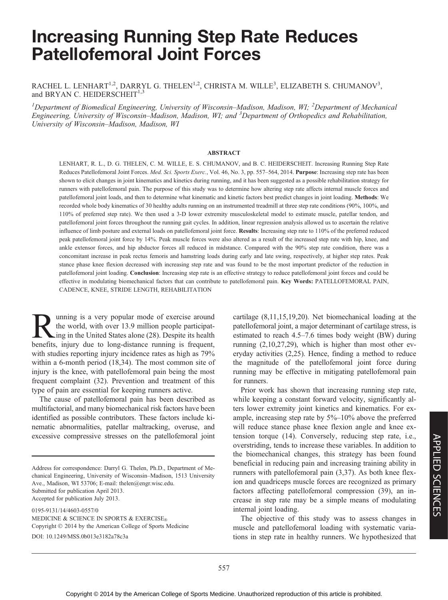# Increasing Running Step Rate Reduces Patellofemoral Joint Forces

## RACHEL L. LENHART $^{1,2}$ , DARRYL G. THELEN $^{1,2}$ , CHRISTA M. WILLE $^3$ , ELIZABETH S. CHUMANOV $^3$ , and BRYAN C. HEIDERSCHEIT $1,3$

<sup>1</sup>Department of Biomedical Engineering, University of Wisconsin–Madison, Madison, WI; <sup>2</sup>Department of Mechanical Engineering, University of Wisconsin–Madison, Madison, WI; and <sup>3</sup>Department of Orthopedics and Rehabilitation, University of Wisconsin–Madison, Madison, WI

#### ABSTRACT

LENHART, R. L., D. G. THELEN, C. M. WILLE, E. S. CHUMANOV, and B. C. HEIDERSCHEIT. Increasing Running Step Rate Reduces Patellofemoral Joint Forces. Med. Sci. Sports Exerc., Vol. 46, No. 3, pp. 557-564, 2014. Purpose: Increasing step rate has been shown to elicit changes in joint kinematics and kinetics during running, and it has been suggested as a possible rehabilitation strategy for runners with patellofemoral pain. The purpose of this study was to determine how altering step rate affects internal muscle forces and patellofemoral joint loads, and then to determine what kinematic and kinetic factors best predict changes in joint loading. Methods: We recorded whole body kinematics of 30 healthy adults running on an instrumented treadmill at three step rate conditions (90%, 100%, and 110% of preferred step rate). We then used a 3-D lower extremity musculoskeletal model to estimate muscle, patellar tendon, and patellofemoral joint forces throughout the running gait cycles. In addition, linear regression analysis allowed us to ascertain the relative influence of limb posture and external loads on patellofemoral joint force. Results: Increasing step rate to 110% of the preferred reduced peak patellofemoral joint force by 14%. Peak muscle forces were also altered as a result of the increased step rate with hip, knee, and ankle extensor forces, and hip abductor forces all reduced in midstance. Compared with the 90% step rate condition, there was a concomitant increase in peak rectus femoris and hamstring loads during early and late swing, respectively, at higher step rates. Peak stance phase knee flexion decreased with increasing step rate and was found to be the most important predictor of the reduction in patellofemoral joint loading. Conclusion: Increasing step rate is an effective strategy to reduce patellofemoral joint forces and could be effective in modulating biomechanical factors that can contribute to patellofemoral pain. Key Words: PATELLOFEMORAL PAIN, CADENCE, KNEE, STRIDE LENGTH, REHABILITATION

**Running is a very popular mode of exercise around**<br>the world, with over 13.9 million people participat-<br>henefits injury due to long-distance running is frequent the world, with over 13.9 million people participating in the United States alone (28). Despite its health benefits, injury due to long-distance running is frequent, with studies reporting injury incidence rates as high as  $79\%$ within a 6-month period (18,34). The most common site of injury is the knee, with patellofemoral pain being the most frequent complaint (32). Prevention and treatment of this type of pain are essential for keeping runners active.

The cause of patellofemoral pain has been described as multifactorial, and many biomechanical risk factors have been identified as possible contributors. These factors include kinematic abnormalities, patellar maltracking, overuse, and excessive compressive stresses on the patellofemoral joint

Address for correspondence: Darryl G. Thelen, Ph.D., Department of Mechanical Engineering, University of Wisconsin–Madison, 1513 University Ave., Madison, WI 53706; E-mail: thelen@engr.wisc.edu. Submitted for publication April 2013. Accepted for publication July 2013.

0195-9131/14/4603-0557/0 MEDICINE & SCIENCE IN SPORTS & EXERCISE Copyright  $\odot$  2014 by the American College of Sports Medicine DOI: 10.1249/MSS.0b013e3182a78c3a

cartilage (8,11,15,19,20). Net biomechanical loading at the patellofemoral joint, a major determinant of cartilage stress, is estimated to reach 4.5–7.6 times body weight (BW) during running (2,10,27,29), which is higher than most other everyday activities (2,25). Hence, finding a method to reduce the magnitude of the patellofemoral joint force during running may be effective in mitigating patellofemoral pain for runners.

Prior work has shown that increasing running step rate, while keeping a constant forward velocity, significantly alters lower extremity joint kinetics and kinematics. For example, increasing step rate by 5%–10% above the preferred will reduce stance phase knee flexion angle and knee extension torque (14). Conversely, reducing step rate, i.e., overstriding, tends to increase these variables. In addition to the biomechanical changes, this strategy has been found beneficial in reducing pain and increasing training ability in runners with patellofemoral pain (3,37). As both knee flexion and quadriceps muscle forces are recognized as primary factors affecting patellofemoral compression (39), an increase in step rate may be a simple means of modulating internal joint loading.

The objective of this study was to assess changes in muscle and patellofemoral loading with systematic variations in step rate in healthy runners. We hypothesized that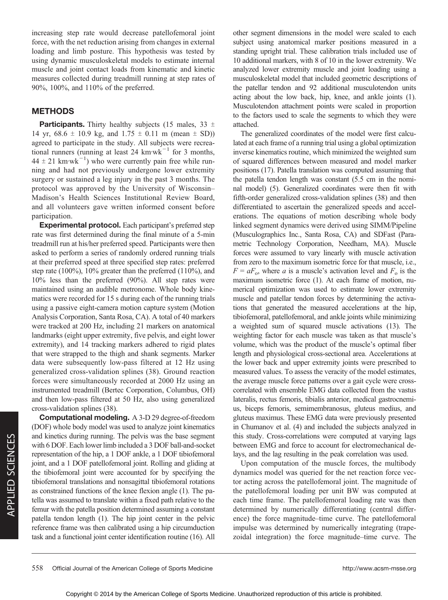increasing step rate would decrease patellofemoral joint force, with the net reduction arising from changes in external loading and limb posture. This hypothesis was tested by using dynamic musculoskeletal models to estimate internal muscle and joint contact loads from kinematic and kinetic measures collected during treadmill running at step rates of 90%, 100%, and 110% of the preferred.

## METHODS

**Participants.** Thirty healthy subjects (15 males, 33  $\pm$ 14 yr,  $68.6 \pm 10.9$  kg, and  $1.75 \pm 0.11$  m (mean  $\pm$  SD)) agreed to participate in the study. All subjects were recreational runners (running at least 24 km·wk<sup>-1</sup> for 3 months,  $44 \pm 21$  km·wk<sup>-1</sup>) who were currently pain free while running and had not previously undergone lower extremity surgery or sustained a leg injury in the past 3 months. The protocol was approved by the University of Wisconsin– Madison's Health Sciences Institutional Review Board, and all volunteers gave written informed consent before participation.

Experimental protocol. Each participant's preferred step rate was first determined during the final minute of a 5-min treadmill run at his/her preferred speed. Participants were then asked to perform a series of randomly ordered running trials at their preferred speed at three specified step rates: preferred step rate (100%), 10% greater than the preferred (110%), and 10% less than the preferred (90%). All step rates were maintained using an audible metronome. Whole body kinematics were recorded for 15 s during each of the running trials using a passive eight-camera motion capture system (Motion Analysis Corporation, Santa Rosa, CA). A total of 40 markers were tracked at 200 Hz, including 21 markers on anatomical landmarks (eight upper extremity, five pelvis, and eight lower extremity), and 14 tracking markers adhered to rigid plates that were strapped to the thigh and shank segments. Marker data were subsequently low-pass filtered at 12 Hz using generalized cross-validation splines (38). Ground reaction forces were simultaneously recorded at 2000 Hz using an instrumented treadmill (Bertec Corporation, Columbus, OH) and then low-pass filtered at 50 Hz, also using generalized cross-validation splines (38).

Computational modeling. A 3-D 29 degree-of-freedom (DOF) whole body model was used to analyze joint kinematics and kinetics during running. The pelvis was the base segment with 6 DOF. Each lower limb included a 3 DOF ball-and-socket representation of the hip, a 1 DOF ankle, a 1 DOF tibiofemoral joint, and a 1 DOF patellofemoral joint. Rolling and gliding at the tibiofemoral joint were accounted for by specifying the tibiofemoral translations and nonsagittal tibiofemoral rotations as constrained functions of the knee flexion angle (1). The patella was assumed to translate within a fixed path relative to the femur with the patella position determined assuming a constant patella tendon length (1). The hip joint center in the pelvic reference frame was then calibrated using a hip circumduction task and a functional joint center identification routine (16). All

other segment dimensions in the model were scaled to each subject using anatomical marker positions measured in a standing upright trial. These calibration trials included use of 10 additional markers, with 8 of 10 in the lower extremity. We analyzed lower extremity muscle and joint loading using a musculoskeletal model that included geometric descriptions of the patellar tendon and 92 additional musculotendon units acting about the low back, hip, knee, and ankle joints (1). Musculotendon attachment points were scaled in proportion to the factors used to scale the segments to which they were attached.

The generalized coordinates of the model were first calculated at each frame of a running trial using a global optimization inverse kinematics routine, which minimized the weighted sum of squared differences between measured and model marker positions (17). Patella translation was computed assuming that the patella tendon length was constant (5.5 cm in the nominal model) (5). Generalized coordinates were then fit with fifth-order generalized cross-validation splines (38) and then differentiated to ascertain the generalized speeds and accelerations. The equations of motion describing whole body linked segment dynamics were derived using SIMM/Pipeline (Musculographics Inc., Santa Rosa, CA) and SDFast (Parametric Technology Corporation, Needham, MA). Muscle forces were assumed to vary linearly with muscle activation from zero to the maximum isometric force for that muscle, i.e.,  $F = aF_0$ , where a is a muscle's activation level and  $F_0$  is the maximum isometric force (1). At each frame of motion, numerical optimization was used to estimate lower extremity muscle and patellar tendon forces by determining the activations that generated the measured accelerations at the hip, tibiofemoral, patellofemoral, and ankle joints while minimizing a weighted sum of squared muscle activations (13). The weighting factor for each muscle was taken as that muscle's volume, which was the product of the muscle's optimal fiber length and physiological cross-sectional area. Accelerations at the lower back and upper extremity joints were prescribed to measured values. To assess the veracity of the model estimates, the average muscle force patterns over a gait cycle were crosscorrelated with ensemble EMG data collected from the vastus lateralis, rectus femoris, tibialis anterior, medical gastrocnemius, biceps femoris, semimembranosus, gluteus medius, and gluteus maximus. These EMG data were previously presented in Chumanov et al. (4) and included the subjects analyzed in this study. Cross-correlations were computed at varying lags between EMG and force to account for electromechanical delays, and the lag resulting in the peak correlation was used.

Upon computation of the muscle forces, the multibody dynamics model was queried for the net reaction force vector acting across the patellofemoral joint. The magnitude of the patellofemoral loading per unit BW was computed at each time frame. The patellofemoral loading rate was then determined by numerically differentiating (central difference) the force magnitude–time curve. The patellofemoral impulse was determined by numerically integrating (trapezoidal integration) the force magnitude–time curve. The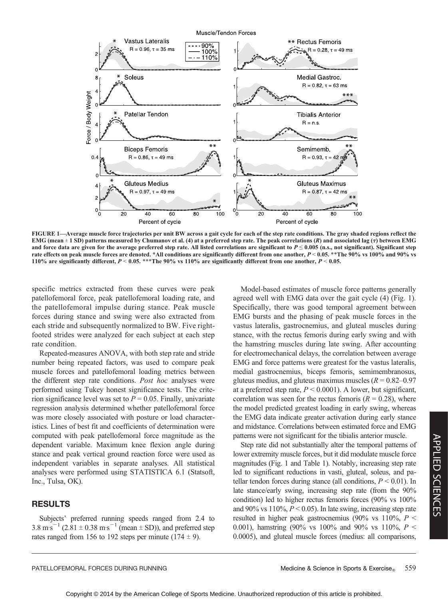

FIGURE 1—Average muscle force trajectories per unit BW across a gait cycle for each of the step rate conditions. The gray shaded regions reflect the EMG (mean  $\pm$  1 SD) patterns measured by Chumanov et al. (4) at a preferred step rate. The peak correlations (R) and associated lag ( $\tau$ ) between EMG and force data are given for the average preferred step rate. All listed correlations are significant to  $P \le 0.005$  (n.s., not significant). Significant step rate effects on peak muscle forces are denoted. \*All conditions are significantly different from one another,  $P < 0.05$ . \*\*The 90% vs 100% and 90% vs 110% are significantly different,  $P < 0.05$ . \*\*\*The 90% vs 110% are significantly different from one another,  $P < 0.05$ .

specific metrics extracted from these curves were peak patellofemoral force, peak patellofemoral loading rate, and the patellofemoral impulse during stance. Peak muscle forces during stance and swing were also extracted from each stride and subsequently normalized to BW. Five rightfooted strides were analyzed for each subject at each step rate condition.

Repeated-measures ANOVA, with both step rate and stride number being repeated factors, was used to compare peak muscle forces and patellofemoral loading metrics between the different step rate conditions. Post hoc analyses were performed using Tukey honest significance tests. The criterion significance level was set to  $P = 0.05$ . Finally, univariate regression analysis determined whether patellofemoral force was more closely associated with posture or load characteristics. Lines of best fit and coefficients of determination were computed with peak patellofemoral force magnitude as the dependent variable. Maximum knee flexion angle during stance and peak vertical ground reaction force were used as independent variables in separate analyses. All statistical analyses were performed using STATISTICA 6.1 (Statsoft, Inc., Tulsa, OK).

## RESULTS

Subjects' preferred running speeds ranged from 2.4 to  $3.8 \text{ m} \text{s}^{-1} (2.81 \pm 0.38 \text{ m} \text{s}^{-1} (\text{mean} \pm \text{SD}))$ , and preferred step rates ranged from 156 to 192 steps per minute  $(174 \pm 9)$ .

Model-based estimates of muscle force patterns generally agreed well with EMG data over the gait cycle (4) (Fig. 1). Specifically, there was good temporal agreement between EMG bursts and the phasing of peak muscle forces in the vastus lateralis, gastrocnemius, and gluteal muscles during stance, with the rectus femoris during early swing and with the hamstring muscles during late swing. After accounting for electromechanical delays, the correlation between average EMG and force patterns were greatest for the vastus lateralis, medial gastrocnemius, biceps femoris, semimembranosus, gluteus medius, and gluteus maximus muscles ( $R = 0.82 - 0.97$ at a preferred step rate,  $P < 0.0001$ ). A lower, but significant, correlation was seen for the rectus femoris ( $R = 0.28$ ), where the model predicted greatest loading in early swing, whereas the EMG data indicate greater activation during early stance and midstance. Correlations between estimated force and EMG patterns were not significant for the tibialis anterior muscle.

Step rate did not substantially alter the temporal patterns of lower extremity muscle forces, but it did modulate muscle force magnitudes (Fig. 1 and Table 1). Notably, increasing step rate led to significant reductions in vasti, gluteal, soleus, and patellar tendon forces during stance (all conditions,  $P \le 0.01$ ). In late stance/early swing, increasing step rate (from the 90% condition) led to higher rectus femoris forces (90% vs 100% and 90% vs  $110\%$ ,  $P < 0.05$ ). In late swing, increasing step rate resulted in higher peak gastrocnemius (90% vs 110%,  $P \leq$ 0.001), hamstring (90% vs 100% and 90% vs 110%,  $P \leq$ 0.0005), and gluteal muscle forces (medius: all comparisons,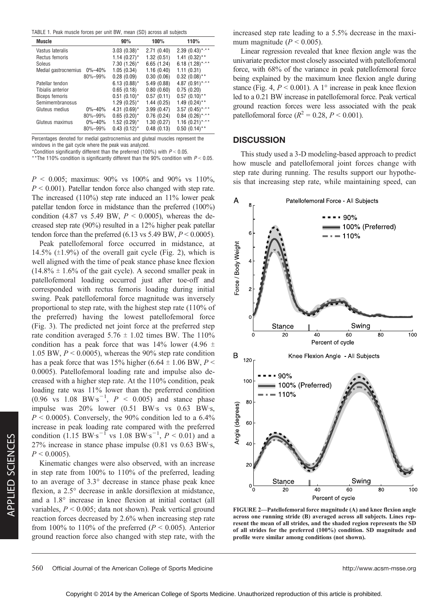TABLE 1. Peak muscle forces per unit BW, mean (SD) across all subjects

| Muscle                |              | 90%              | 100%       | 110%                 |
|-----------------------|--------------|------------------|------------|----------------------|
| Vastus lateralis      |              | $3.03(0.38)^*$   | 2.71(0.40) | $2.39(0.43)$ *,**    |
| Rectus femoris        |              | $1.14(0.27)$ *   | 1.32(0.51) | $1.41 (0.32)$ **     |
| Soleus                |              | $7.30(1.26)$ *   | 6.65(1.24) | 6.18 $(1.28)$ *,**   |
| Medial gastrocnemius  | $0\% - 40\%$ | 1.05(0.34)       | 1.16(0.40) | 1.11(0.31)           |
|                       | 80%-99%      | 0.28(0.09)       | 0.30(0.06) | $0.32$ (0.08)**      |
| Patellar tendon       |              | $6.13(0.88)^*$   | 5.49(0.88) | 4.87 $(0.91)$ *,**   |
| Tibialis anterior     |              | 0.65(0.18)       | 0.80(0.60) | 0.75(0.20)           |
| <b>Biceps femoris</b> |              | $0.51(0.10)^*$   | 0.57(0.11) | $0.57(0.10)$ **      |
| Semimembranosus       |              | $1.29(0.25)^{*}$ | 1.44(0.25) | $1.49(0.24)$ **      |
| Gluteus medius        | $0\% - 40\%$ | 4.31 $(0.69)^*$  | 3.99(0.47) | $3.57$ $(0.45)$ *,** |
|                       | 80%-99%      | $0.65(0.20)^*$   | 0.76(0.24) | $0.84$ $(0.26)$ *,** |
| Gluteus maximus       | $0\% - 40\%$ | $1.52(0.29)^{*}$ | 1.30(0.27) | $1.16$ $(0.21)$ *,** |
|                       | 80%-99%      | $0.43(0.12)^{*}$ | 0.48(0.13) | $0.50(0.14)$ **      |

Percentages denoted for medial gastrocnemius and gluteal muscles represent the windows in the gait cycle where the peak was analyzed.

\*Condition significantly different than the preferred (100%) with  $P < 0.05$ .

\*\*The 110% condition is significantly different than the 90% condition with  $P < 0.05$ .

 $P < 0.005$ ; maximus: 90% vs 100% and 90% vs 110%,  $P < 0.001$ ). Patellar tendon force also changed with step rate. The increased (110%) step rate induced an 11% lower peak patellar tendon force in midstance than the preferred (100%) condition (4.87 vs 5.49 BW,  $P < 0.0005$ ), whereas the decreased step rate (90%) resulted in a 12% higher peak patellar tendon force than the preferred  $(6.13 \text{ vs } 5.49 \text{ BW}, P \le 0.0005)$ .

Peak patellofemoral force occurred in midstance, at 14.5%  $(\pm 1.9\%)$  of the overall gait cycle (Fig. 2), which is well aligned with the time of peak stance phase knee flexion  $(14.8\% \pm 1.6\%$  of the gait cycle). A second smaller peak in patellofemoral loading occurred just after toe-off and corresponded with rectus femoris loading during initial swing. Peak patellofemoral force magnitude was inversely proportional to step rate, with the highest step rate (110% of the preferred) having the lowest patellofemoral force (Fig. 3). The predicted net joint force at the preferred step rate condition averaged  $5.76 \pm 1.02$  times BW. The 110% condition has a peak force that was  $14\%$  lower (4.96  $\pm$ 1.05 BW,  $P < 0.0005$ ), whereas the 90% step rate condition has a peak force that was 15% higher (6.64  $\pm$  1.06 BW, P < 0.0005). Patellofemoral loading rate and impulse also decreased with a higher step rate. At the 110% condition, peak loading rate was 11% lower than the preferred condition  $(0.96 \text{ vs } 1.08 \text{ BW} \cdot \text{s}^{-1}, P < 0.005)$  and stance phase impulse was  $20\%$  lower  $(0.51$  BW·s vs  $0.63$  BW·s,  $P < 0.0005$ ). Conversely, the 90% condition led to a 6.4% increase in peak loading rate compared with the preferred condition  $(1.15 \text{ BW} \cdot \text{s}^{-1} \text{ vs } 1.08 \text{ BW} \cdot \text{s}^{-1}, P < 0.01)$  and a  $27\%$  increase in stance phase impulse (0.81 vs 0.63 BW·s,  $P < 0.0005$ ).

Kinematic changes were also observed, with an increase in step rate from 100% to 110% of the preferred, leading to an average of 3.3° decrease in stance phase peak knee flexion, a  $2.5^{\circ}$  decrease in ankle dorsiflexion at midstance, and a  $1.8^\circ$  increase in knee flexion at initial contact (all variables,  $P < 0.005$ ; data not shown). Peak vertical ground reaction forces decreased by 2.6% when increasing step rate from 100% to 110% of the preferred ( $P < 0.005$ ). Anterior ground reaction force also changed with step rate, with the increased step rate leading to a 5.5% decrease in the maximum magnitude ( $P < 0.005$ ).

Linear regression revealed that knee flexion angle was the univariate predictor most closely associated with patellofemoral force, with 68% of the variance in peak patellofemoral force being explained by the maximum knee flexion angle during stance (Fig. 4,  $P < 0.001$ ). A 1° increase in peak knee flexion led to a 0.21 BW increase in patellofemoral force. Peak vertical ground reaction forces were less associated with the peak patellofemoral force ( $R^2 = 0.28, P < 0.001$ ).

### **DISCUSSION**

This study used a 3-D modeling-based approach to predict how muscle and patellofemoral joint forces change with step rate during running. The results support our hypothesis that increasing step rate, while maintaining speed, can



FIGURE 2—Patellofemoral force magnitude (A) and knee flexion angle across one running stride (B) averaged across all subjects. Lines represent the mean of all strides, and the shaded region represents the SD of all strides for the preferred (100%) condition. SD magnitude and profile were similar among conditions (not shown).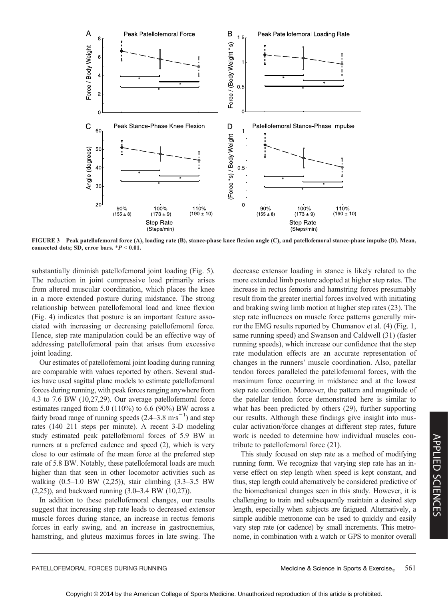

FIGURE 3—Peak patellofemoral force (A), loading rate (B), stance-phase knee flexion angle (C), and patellofemoral stance-phase impulse (D). Mean, connected dots; SD, error bars.  $*P < 0.01$ .

substantially diminish patellofemoral joint loading (Fig. 5). The reduction in joint compressive load primarily arises from altered muscular coordination, which places the knee in a more extended posture during midstance. The strong relationship between patellofemoral load and knee flexion (Fig. 4) indicates that posture is an important feature associated with increasing or decreasing patellofemoral force. Hence, step rate manipulation could be an effective way of addressing patellofemoral pain that arises from excessive joint loading.

Our estimates of patellofemoral joint loading during running are comparable with values reported by others. Several studies have used sagittal plane models to estimate patellofemoral forces during running, with peak forces ranging anywhere from 4.3 to 7.6 BW (10,27,29). Our average patellofemoral force estimates ranged from 5.0 (110%) to 6.6 (90%) BW across a fairly broad range of running speeds  $(2.4-3.8 \text{ m} \text{ s}^{-1})$  and step rates (140–211 steps per minute). A recent 3-D modeling study estimated peak patellofemoral forces of 5.9 BW in runners at a preferred cadence and speed (2), which is very close to our estimate of the mean force at the preferred step rate of 5.8 BW. Notably, these patellofemoral loads are much higher than that seen in other locomotor activities such as walking (0.5–1.0 BW (2,25)), stair climbing (3.3–3.5 BW (2,25)), and backward running (3.0–3.4 BW (10,27)).

In addition to these patellofemoral changes, our results suggest that increasing step rate leads to decreased extensor muscle forces during stance, an increase in rectus femoris forces in early swing, and an increase in gastrocnemius, hamstring, and gluteus maximus forces in late swing. The decrease extensor loading in stance is likely related to the more extended limb posture adopted at higher step rates. The increase in rectus femoris and hamstring forces presumably result from the greater inertial forces involved with initiating and braking swing limb motion at higher step rates (23). The step rate influences on muscle force patterns generally mirror the EMG results reported by Chumanov et al. (4) (Fig. 1, same running speed) and Swanson and Caldwell (31) (faster running speeds), which increase our confidence that the step rate modulation effects are an accurate representation of changes in the runners' muscle coordination. Also, patellar tendon forces paralleled the patellofemoral forces, with the maximum force occurring in midstance and at the lowest step rate condition. Moreover, the pattern and magnitude of the patellar tendon force demonstrated here is similar to what has been predicted by others (29), further supporting our results. Although these findings give insight into muscular activation/force changes at different step rates, future work is needed to determine how individual muscles contribute to patellofemoral force (21).

This study focused on step rate as a method of modifying running form. We recognize that varying step rate has an inverse effect on step length when speed is kept constant, and thus, step length could alternatively be considered predictive of the biomechanical changes seen in this study. However, it is challenging to train and subsequently maintain a desired step length, especially when subjects are fatigued. Alternatively, a simple audible metronome can be used to quickly and easily vary step rate (or cadence) by small increments. This metronome, in combination with a watch or GPS to monitor overall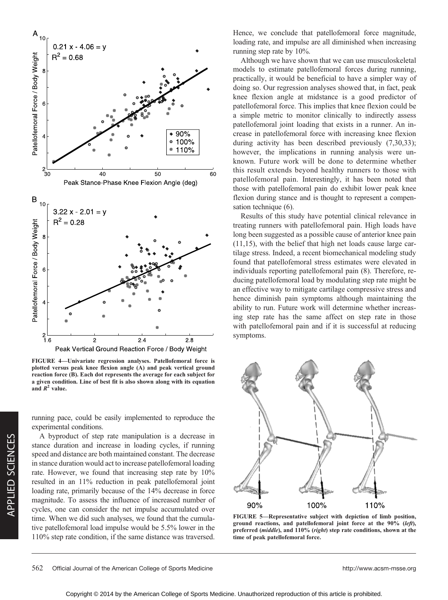

FIGURE 4—Univariate regression analyses. Patellofemoral force is plotted versus peak knee flexion angle (A) and peak vertical ground reaction force (B). Each dot represents the average for each subject for a given condition. Line of best fit is also shown along with its equation and  $R^2$  value.

running pace, could be easily implemented to reproduce the experimental conditions.

A byproduct of step rate manipulation is a decrease in stance duration and increase in loading cycles, if running speed and distance are both maintained constant. The decrease in stance duration would act to increase patellofemoral loading rate. However, we found that increasing step rate by 10% resulted in an 11% reduction in peak patellofemoral joint loading rate, primarily because of the 14% decrease in force magnitude. To assess the influence of increased number of cycles, one can consider the net impulse accumulated over time. When we did such analyses, we found that the cumulative patellofemoral load impulse would be 5.5% lower in the 110% step rate condition, if the same distance was traversed. Hence, we conclude that patellofemoral force magnitude, loading rate, and impulse are all diminished when increasing running step rate by 10%.

Although we have shown that we can use musculoskeletal models to estimate patellofemoral forces during running, practically, it would be beneficial to have a simpler way of doing so. Our regression analyses showed that, in fact, peak knee flexion angle at midstance is a good predictor of patellofemoral force. This implies that knee flexion could be a simple metric to monitor clinically to indirectly assess patellofemoral joint loading that exists in a runner. An increase in patellofemoral force with increasing knee flexion during activity has been described previously (7,30,33); however, the implications in running analysis were unknown. Future work will be done to determine whether this result extends beyond healthy runners to those with patellofemoral pain. Interestingly, it has been noted that those with patellofemoral pain do exhibit lower peak knee flexion during stance and is thought to represent a compensation technique (6).

Results of this study have potential clinical relevance in treating runners with patellofemoral pain. High loads have long been suggested as a possible cause of anterior knee pain (11,15), with the belief that high net loads cause large cartilage stress. Indeed, a recent biomechanical modeling study found that patellofemoral stress estimates were elevated in individuals reporting patellofemoral pain (8). Therefore, reducing patellofemoral load by modulating step rate might be an effective way to mitigate cartilage compressive stress and hence diminish pain symptoms although maintaining the ability to run. Future work will determine whether increasing step rate has the same affect on step rate in those with patellofemoral pain and if it is successful at reducing symptoms.



FIGURE 5—Representative subject with depiction of limb position, ground reactions, and patellofemoral joint force at the 90% (left), preferred (middle), and 110% (right) step rate conditions, shown at the time of peak patellofemoral force.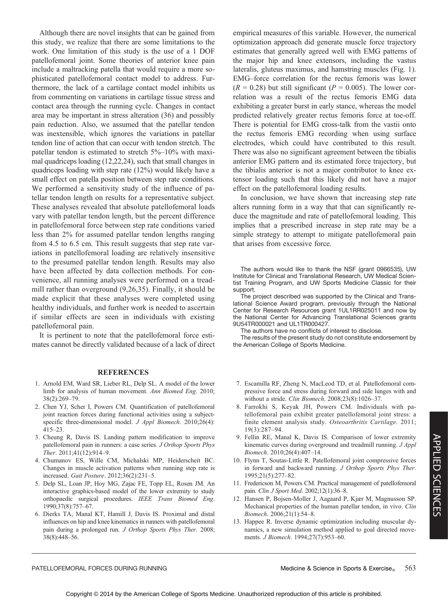Although there are novel insights that can be gained from this study, we realize that there are some limitations to the work. One limitation of this study is the use of a 1 DOF patellofemoral joint. Some theories of anterior knee pain include a maltracking patella that would require a more sophisticated patellofemoral contact model to address. Furthermore, the lack of a cartilage contact model inhibits us from commenting on variations in cartilage tissue stress and contact area through the running cycle. Changes in contact area may be important in stress alteration (36) and possibly pain reduction. Also, we assumed that the patellar tendon was inextensible, which ignores the variations in patellar tendon line of action that can occur with tendon stretch. The patellar tendon is estimated to stretch 5%–10% with maximal quadriceps loading (12,22,24), such that small changes in quadriceps loading with step rate (12%) would likely have a small effect on patella position between step rate conditions. We performed a sensitivity study of the influence of patellar tendon length on results for a representative subject. These analyses revealed that absolute patellofemoral loads vary with patellar tendon length, but the percent difference in patellofemoral force between step rate conditions varied less than 2% for assumed patellar tendon lengths ranging from 4.5 to 6.5 cm. This result suggests that step rate variations in patellofemoral loading are relatively insensitive to the presumed patellar tendon length. Results may also have been affected by data collection methods. For convenience, all running analyses were performed on a treadmill rather than overground (9,26,35). Finally, it should be made explicit that these analyses were completed using healthy individuals, and further work is needed to ascertain if similar effects are seen in individuals with existing patellofemoral pain.

It is pertinent to note that the patellofemoral force estimates cannot be directly validated because of a lack of direct

#### REFERENCES

- 1. Arnold EM, Ward SR, Lieber RL, Delp SL. A model of the lower limb for analysis of human movement. Ann Biomed Eng. 2010; 38(2):269–79.
- 2. Chen YJ, Scher I, Powers CM. Quantification of patellofemoral joint reaction forces during functional activities using a subjectspecific three-dimensional model. J Appl Biomech. 2010;26(4): 415–23.
- 3. Cheung R, Davis IS. Landing pattern modification to improve patellofemoral pain in runners: a case series. J Orthop Sports Phys Ther. 2011;41(12):914–9.
- 4. Chumanov ES, Wille CM, Michalski MP, Heiderscheit BC. Changes in muscle activation patterns when running step rate is increased. Gait Posture. 2012;36(2):231–5.
- 5. Delp SL, Loan JP, Hoy MG, Zajac FE, Topp EL, Rosen JM. An interactive graphics-based model of the lower extremity to study orthopaedic surgical procedures. IEEE Trans Biomed Eng. 1990;37(8):757–67.
- 6. Dierks TA, Manal KT, Hamill J, Davis IS. Proximal and distal influences on hip and knee kinematics in runners with patellofemoral pain during a prolonged run. J Orthop Sports Phys Ther. 2008; 38(8):448–56.

empirical measures of this variable. However, the numerical optimization approach did generate muscle force trajectory estimates that generally agreed well with EMG patterns of the major hip and knee extensors, including the vastus lateralis, gluteus maximus, and hamstring muscles (Fig. 1). EMG–force correlation for the rectus femoris was lower  $(R = 0.28)$  but still significant  $(P = 0.005)$ . The lower correlation was a result of the rectus femoris EMG data exhibiting a greater burst in early stance, whereas the model predicted relatively greater rectus femoris force at toe-off. There is potential for EMG cross-talk from the vastii onto the rectus femoris EMG recording when using surface electrodes, which could have contributed to this result. There was also no significant agreement between the tibialis anterior EMG pattern and its estimated force trajectory, but the tibialis anterior is not a major contributor to knee extensor loading such that this likely did not have a major effect on the patellofemoral loading results.

In conclusion, we have shown that increasing step rate alters running form in a way that that can significantly reduce the magnitude and rate of patellofemoral loading. This implies that a prescribed increase in step rate may be a simple strategy to attempt to mitigate patellofemoral pain that arises from excessive force.

The authors would like to thank the NSF (grant 0966535), UW Institute for Clinical and Translational Research, UW Medical Scientist Training Program, and UW Sports Medicine Classic for their support.

The project described was supported by the Clinical and Translational Science Award program, previously through the National Center for Research Resources grant 1UL1RR025011 and now by the National Center for Advancing Translational Sciences grants 9U54TR000021 and UL1TR000427.

The authors have no conflicts of interest to disclose.

The results of the present study do not constitute endorsement by the American College of Sports Medicine.

- 7. Escamilla RF, Zheng N, MacLeod TD, et al. Patellofemoral compressive force and stress during forward and side lunges with and without a stride. Clin Biomech. 2008;23(8):1026–37.
- 8. Farrokhi S, Keyak JH, Powers CM. Individuals with patellofemoral pain exhibit greater patellofemoral joint stress: a finite element analysis study. Osteoarthritis Cartilage. 2011; 19(3):287–94.
- 9. Fellin RE, Manal K, Davis IS. Comparison of lower extremity kinematic curves during overground and treadmill running. J Appl Biomech. 2010;26(4):407–14.
- 10. Flynn T, Soutas-Little R. Patellofemoral joint compressive forces in forward and backward running. J Orthop Sports Phys Ther. 1995;21(5):277–82.
- 11. Fredericson M, Powers CM. Practical management of patellofemoral pain. Clin J Sport Med. 2002;12(1):36-8.
- 12. Hansen P, Bojsen-Moller J, Aagaard P, Kjær M, Magnusson SP. Mechanical properties of the human patellar tendon, in vivo. Clin Biomech. 2006;21(1):54–8.
- 13. Happee R. Inverse dynamic optimization including muscular dynamics, a new simulation method applied to goal directed movements. J Biomech. 1994;27(7):953–60.

#### PATELLOFEMORAL FORCES DURING RUNNING **Medicine & Science in Sports & Exercise** 563

APPLIED